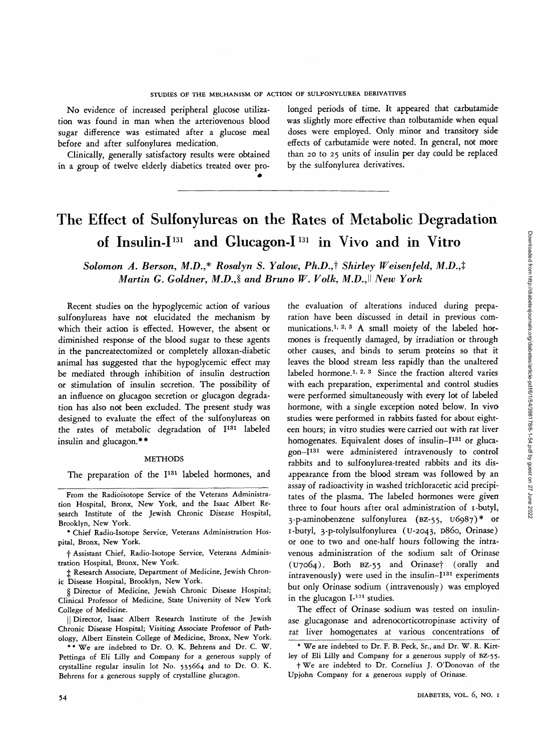Downloaded from http://diabetesjournals.org/diabetes/article-pdf/6/1/54/398178/6-1-54.pdf by guest on 27 June 2022 Downloaded from http://diabetesjournals.org/diabetes/article-pdf/6/1/54/398178/6-1-54.pdf by guest on 27 June 2022

No evidence of increased peripheral glucose utilization was found in man when the arteriovenous blood sugar difference was estimated after a glucose meal before and after sulfonylurea medication.

Clinically, generally satisfactory results were obtained in a group of twelve elderly diabetics treated over pro-

longed periods of time. It appeared that carbutamide was slightly more effective than tolbutamide when equal doses were employed. Only minor and transitory side effects of carbutamide were noted. In general, not more than 20 to 25 units of insulin per day could be replaced by the sulfonylurea derivatives.

# The Effect of Sulfonylureas on the Rates of Metabolic Degradation of Insulin-I<sup>131</sup> and Glucagon-I<sup>131</sup> in Vivo and in Vitro

*Solomon A. Berson, M.D.,\* Rosalyn S. Yalow, Ph.D.,i Shirley Weisenfeld, M.D.,t Martin G. Goldner, M.D., and Bruno W. Volk, M.D.,\\ New York* 

Recent studies on the hypoglycemic action of various sulfonylureas have not elucidated the mechanism by which their action is effected. However, the absent or diminished response of the blood sugar to these agents in the pancreatectomized or completely alloxan-diabetic animal has suggested that the hypoglycemic effect may be mediated through inhibition of insulin destruction or stimulation of insulin secretion. The possibility of an influence on glucagon secretion or glucagon degradation has also not been excluded. The present study was designed to evaluate the effect of the sulfonylureas on the rates of metabolic degradation of I<sup>131</sup> labeled insulin and glucagon.\*\*

#### METHODS

The preparation of the I<sup>131</sup> labeled hormones, and

+ Assistant Chief, Radio-Isotope Service, Veterans Administration Hospital, Bronx, New York.

 $\ddagger$  Research Associate, Department of Medicine, Jewish Chronic Disease Hospital, Brooklyn, New York.

S Director of Medicine, Jewish Chronic Disease Hospital; Clinical Professor of Medicine, State University of New York College of Medicine.

|| Director, Isaac Albert Research Institute of the Jewish Chronic Disease Hospital; Visiting Associate Professor of Pathology, Albert Einstein College of Medicine, Bronx, New York.

\* \* We are indebted to Dr. O. K. Behrens and Dr. C. W. Pettinga of Eli Lilly and Company for a generous supply of crystalline regular insulin lot No. 535664 and to Dr. O. K. Behrens for a generous supply of crystalline glucagon.

the evaluation of alterations induced during preparation have been discussed in detail in previous communications.<sup>1, 2, 3</sup> A small moiety of the labeled hormones is frequently damaged, by irradiation or through other causes, and binds to serum proteins so that it leaves the blood stream less rapidly than the unaltered labeled hormone.<sup>1, 2, 3</sup> Since the fraction altered varies with each preparation, experimental and control studies were performed simultaneously with every lot of labeled hormone, with a single exception noted below. In vivo studies were performed in rabbits fasted for about eighteen hours; in vitro studies were carried out with rat liver homogenates. Equivalent doses of insulin-I<sup>131</sup> or glucagon-I<sup>131</sup> were administered intravenously to control rabbits and to sulfonylurea-treated rabbits and its disappearance from the blood stream was followed by an assay of radioactivity in washed trichloracetic acid precipitates of the plasma. The labeled hormones were given three to four hours after oral administration of 1-butyl, 3-p-aminobenzene sulfonylurea (BZ-55, U6987)\* or i-butyl, 3-p-tolylsulfonylurea (u-2043, D860, Orinase) or one to two and one-half hours following the intravenous administration of the sodium salt of Orinase  $($  U7064). Both BZ-55 and Orinase $\dagger$  (orally and intravenously) were used in the insulin-I<sup>131</sup> experiments but only Orinase sodium (intravenously) was employed in the glucagon I-<sup>131</sup> studies.

The effect of Orinase sodium was tested on insulinase glucagonase and adrenocorticotropinase activity of rat liver homogenates at various concentrations of

From the Radioisotope Service of the Veterans Administration Hospital, Bronx, New York, and the Isaac Albert Research Institute of the Jewish Chronic Disease Hospital, Brooklyn, New York.

<sup>\*</sup> Chief Radio-Isotope Service, Veterans Administration Hospital, Bronx, New York.

<sup>\*</sup> We are indebted to Dr. F. B. Peck, Sr., and Dr. W. R. Kirtley of Eli Lilly and Company for a generous supply of BZ-55.

t We are indebted to Dr. Cornelius J. O'Donovan of the Upjohn Company for a generous supply of Orinase.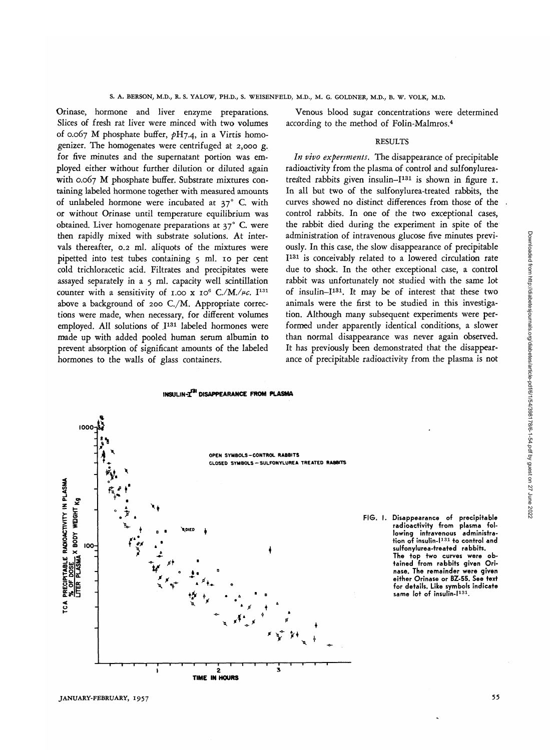Orinase, hormone and liver enzyme preparations. Slices of fresh rat liver were minced with two volumes of 0.067 M phosphate buffer, *pHj.4,* in a Virtis homogenizer. The homogenates were centrifuged at 2,000 g. for five minutes and the supernatant portion was employed either without further dilution or diluted again with 0.067 M phosphate buffer. Substrate mixtures containing labeled hormone together with measured amounts of unlabeled hormone were incubated at 37° C. with or without Orinase until temperature equilibrium was obtained. Liver homogenate preparations at 37° C. were then rapidly mixed with substrate solutions. At intervals thereafter, 0.2 ml. aliquots of the mixtures were pipetted into test tubes containing 5 ml. 10 per cent cold trichloracetic acid. Filtrates and precipitates were assayed separately in a 5 ml. capacity well scintillation counter with a sensitivity of 1.00 x  $I0^6$  C./M./ $\mu$ c. I<sup>131</sup> above a background of 200 C./M. Appropriate corrections were made, when necessary, for different volumes employed. All solutions of I<sup>131</sup> labeled hormones were made up with added pooled human serum albumin to prevent absorption of significant amounts of the labeled hormones to the walls of glass containers.

Venous blood sugar concentrations were determined according to the method of Folin-Malmros.4

#### RESULTS

*In vivo experiments.* The disappearance of precipitable radioactivity from the plasma of control and sulfonylureatreated rabbits given insulin-I<sup>131</sup> is shown in figure 1. In all but two of the sulfonylurea-treated rabbits, the curves showed no distinct differences from those of the control rabbits. In one of the two exceptional cases, the rabbit died during the experiment in spite of the administration of intravenous glucose five minutes previously. In this case, the slow disappearance of precipitable I 131 is conceivably related to a lowered circulation rate due to shock. In the other exceptional case, a control rabbit was unfortunately not studied with the same lot of insulin-I131. It may be of interest that these two animals were the first to be studied in this investigation. Although many subsequent experiments were performed under apparently identical conditions, a slower than normal disappearance was never again observed. It has previously been demonstrated that the disappearance of precipitable radioactivity from the plasma is not





**FIG. I. Disappearance of precipitable radioactivity from plasma following intravenous administration of insulin-I<sup>131</sup> to control and sulfonylurea-treated rabbits. The top two curves were obtained from rabbits given Orinase. The remainder were given either Orinase or BZ-55. See text for details. Like symbols indicate same lot of insulin-I131.**

Downloaded from http://diabetesjournals.org/diabetes/article-pdf/6/1/54/398178/6-1-54.pdf by guest on 27 June 2022 Downloaded from http://diabetesjournals.org/diabetes/article-pdf/6/1/54/398178/6-1-54.pdf by guest on 27 June 2022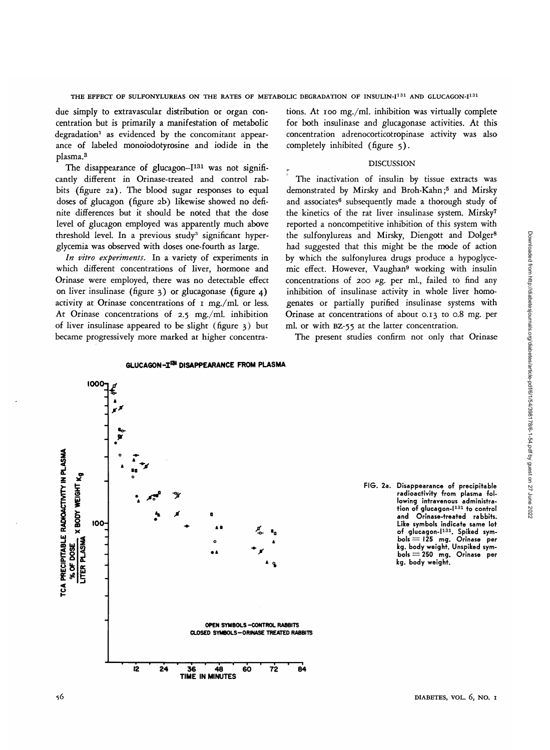Downloaded from http://diabetesjournals.org/diabetes/article-pdf/6/1/54/398178/6-1-54.pdf by guest on 27 June 2022 Downloaded from http://diabetesjournals.org/diabetes/article-pdf/6/1/54/398178/6-1-54.pdf by guest on 27 June 2022

THE EFFECT OF SULFONYLUREAS ON THE RATES OF METABOLIC DEGRADATION OF INSULIN-I $^{131}$  AND GLUCAGON-I $^{131}$ 

due simply to extravascular distribution or organ concentration but is primarily a manifestation of metabolic degradation<sup>1</sup> as evidenced by the concomitant appearance of labeled monoiodotyrosine and iodide in the plasma.3

The disappearance of glucagon-I<sup>131</sup> was not significantly different in Orinase-treated and control rabbits (figure 2a). The blood sugar responses to equal doses of glucagon (figure 2b) likewise showed no definite differences but it should be noted that the dose level of glucagon employed was apparently much above threshold level. In a previous study<sup>3</sup> significant hyperglycemia was observed with doses one-fourth as large.

*In vitro experiments.* In a variety of experiments in which different concentrations of liver, hormone and Orinase were employed, there was no detectable effect on liver insulinase (figure 3) or glucagonase (figure 4) activity at Orinase concentrations of 1 mg./ml. or less. At Orinase concentrations of 2.5 mg./ml. inhibition of liver insulinase appeared to be slight (figure 3) but became progressively more marked at higher concentrations. At 100 mg./ml. inhibition was virtually complete for both insulinase and glucagonase activities. At this concentration adrenocorticotropinase activity was also completely inhibited (figure 5).

#### DISCUSSION

The inactivation of insulin by tissue extracts was demonstrated by Mirsky and Broh-Kahn;<sup>5</sup> and Mirsky and associates<sup>6</sup> subsequently made a thorough study of the kinetics of the rat liver insulinase system. Mirsky7 reported a noncompetitive inhibition of this system with the sulfonylureas and Mirsky, Diengott and Dolger8 had suggested that this might be the mode of action by which the sulfonylurea drugs produce a hypoglycemic effect. However, Vaughan9 working with insulin concentrations of 200  $\mu$ g. per ml., failed to find any inhibition of insulinase activity in whole liver homogenates or partially purified insulinase systems with Orinase at concentrations of about 0.13 to 0.8 mg. per ml. or with BZ-55 at the latter concentration.

The present studies confirm not only that Orinase



**kg. body weight.**

**radioactivity from plasma following intravenous administra-tion of glucagon-I<sup>131</sup> to control and Orinase-treated rabbits. Like symbols indicate same lot of glucagon-I131. Spiked symbols = 125 mg. Orinase per kg. body weight. Unspiked symbols = 250 mg. Orinase per**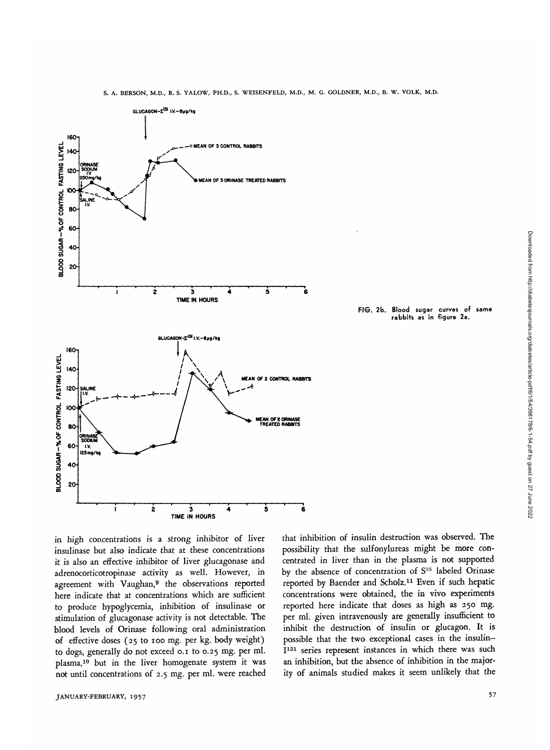

**FIG. 2b. Blood sugar curves of same rabbits as in figure 2a.**

in high concentrations is a strong inhibitor of liver insulinase but also indicate that at these concentrations it is also an effective inhibitor of liver glucagonase and adrenocorticotropinase activity as well. However, in agreement with Vaughan,<sup>9</sup> the observations reported here indicate that at concentrations which are sufficient to produce hypoglycemia, inhibition of insulinase or stimulation of glucagonase activity is not detectable. The blood levels of Orinase following oral administration of effective doses (25 to 100 mg. per kg. body weight) to dogs, generally do not exceed 0.1 to 0.25 mg. per ml. plasma,<sup>10</sup> but in the liver homogenate system it was not until concentrations of 2.5 mg. per ml. were reached that inhibition of insulin destruction was observed. The possibility that the sulfonylureas might be more concentrated in liver than in the plasma is not supported by the absence of concentration of S<sup>35</sup> labeled Orinase reported by Baender and Scholz.11 Even if such hepatic concentrations were obtained, the in vivo experiments reported here indicate that doses as high as 250 mg. per ml. given intravenously are generally insufficient to inhibit the destruction of insulin or glucagon. It is possible that the two exceptional cases in the insulin-I<sup>131</sup> series represent instances in which there was such an inhibition, but the absence of inhibition in the majority of animals studied makes it seem unlikely that the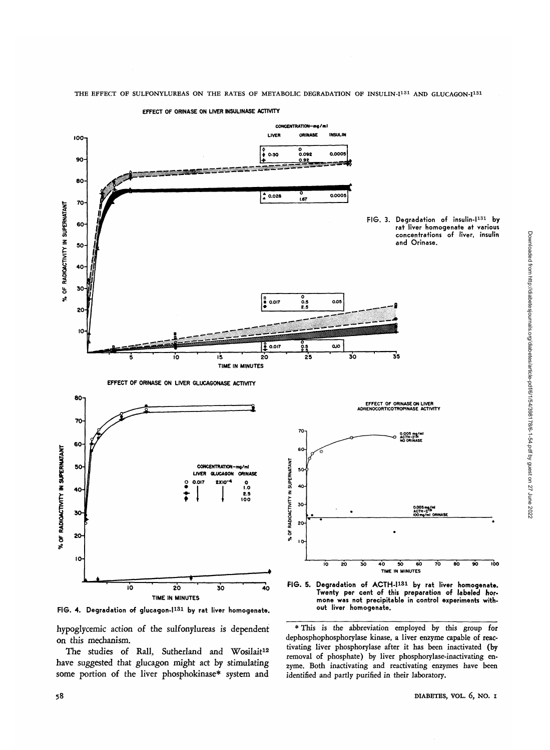

THE EFFECT OF SULFONYLUREAS ON THE RATES OF METABOLIC DEGRADATION OF INSULIN-I<sup>131</sup> AND GLUCAGON-I<sup>131</sup>

**FIG. 4. Degradation of glucagon-l131 by rat liver homogenate.**

hypoglycemic action of the sulfonylureas is dependent on this mechanism.

The studies of Rall, Sutherland and Wosilait<sup>12</sup> have suggested that glucagon might act by stimulating some portion of the liver phosphokinase\* system and



dephosphophosphorylase kinase, a liver enzyme capable of reactivating liver phosphorylase after it has been inactivated (by removal of phosphate) by liver phosphorylase-inactivating enzyme. Both inactivating and reactivating enzymes have been identified and partly purified in their laboratory.

58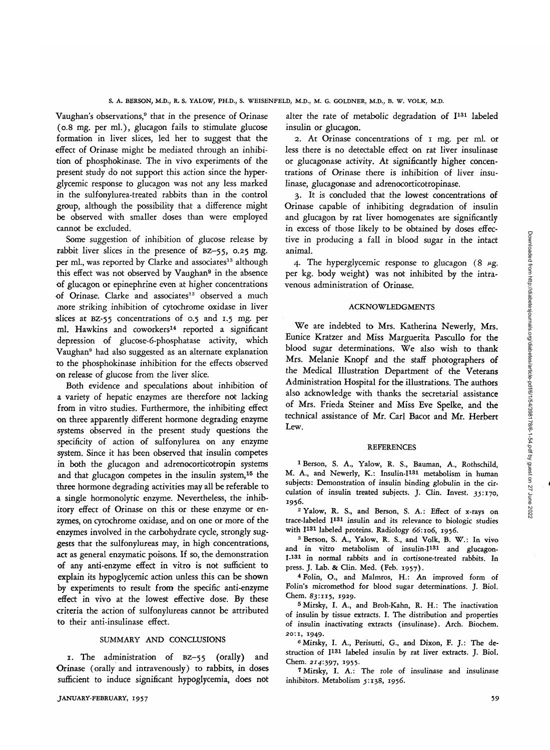Downloaded from http://diabetesjournals.org/diabetes/article-pdf/6/1/54/398178/6-1-54.pdf by guest on 27 June 2022

Vaughan's observations,<sup>9</sup> that in the presence of Orinase (0.8 mg. per ml.), glucagon fails to stimulate glucose formation in liver slices, led her to suggest that the effect of Orinase might be mediated through an inhibition of phosphokinase. The in vivo experiments of the present study do not support this action since the hyperglycemic response to glucagon was not any less marked in the sulfonylurea-treated rabbits than in the control group, although the possibility that a difference might be observed with smaller doses than were employed cannot be excluded.

Some suggestion of inhibition of glucose release by rabbit liver slices in the presence of BZ—55, 0.25 *mg.* per ml., was reported by Clarke and associates<sup>13</sup> although this effect was not observed by Vaughan<sup>9</sup> in the absence of glucagon or epinephrine even at higher concentrations of Orinase. Clarke and associates<sup>13</sup> observed a much more striking inhibition of cytochrome oxidase in liver slices at BZ-55 concentrations of 0.5 and 1.5 mg. per ml. Hawkins and coworkers<sup>14</sup> reported a significant depression of glucose-6-phosphatase activity, which Vaughan9 had also suggested as an alternate explanation to the phosphokinase inhibition for the effects observed on release of glucose from the liver slice.

Both evidence and speculations about inhibition of a variety of hepatic enzymes are therefore not lacking from in vitro studies. Furthermore, the inhibiting effect on three apparently different hormone degrading enzyme systems observed in the present study questions the specificity of action of sulfonylurea on any enzyme system. Since it has been observed that insulin competes in both the glucagon and adrenocorticotropin systems and that glucagon competes in the insulin system,<sup>15</sup> the three hormone degrading activities may all be referable to a single hormonolytic enzyme. Nevertheless, the inhibitory effect of Orinase on this or these enzyme or enzymes, on cytochrome oxidase, and on one or more of the enzymes involved in the carbohydrate cycle, strongly suggests that the sulfonylureas may, in high concentrations, act as general enzymatic poisons. If so, the demonstration of any anti-enzyme effect in vitro is not sufficient to explain its hypoglycemic action unless this can be shown by experiments to result from the specific anti-enzyme effect in vivo at the lowest effective dose. By these criteria the action of sulfonylureas cannot be attributed to their anti-insulinase effect.

### SUMMARY AND CONCLUSIONS

1. The administration of BZ-55 (orally) and Orinase (orally and intravenously) to rabbits, in doses sufficient to induce significant hypoglycemia, does not

alter the rate of metabolic degradation of I<sup>131</sup> labeled insulin or glucagon.

2. At Orinase concentrations of 1 mg. per ml. or less there is no detectable effect on rat liver insulinase or glucagonase activity. At significantly higher concentrations of Orinase there is inhibition of liver insulinase, glucagonase and adrenocorticotropinase.

3. It is concluded that the lowest concentrations of Orinase capable of inhibiting degradation of insulin and glucagon by rat liver homogenates are significantly in excess of those likely to be obtained by doses effective in producing a fall in blood sugar in the intact animal.

4. The hyperglycemic response to glucagon  $(8 \mu g)$ . per kg. body weight) was not inhibited by the intravenous administration of Orinase.

### ACKNOWLEDGMENTS

We are indebted to Mrs. Katherina Newerly, Mrs. Eunice Kratzer and Miss Marguerita Pascullo for the blood sugar determinations. We also wish to thank Mrs. Melanie Knopf and the staff photographers of the Medical Illustration Department of the Veterans Administration Hospital for the illustrations. The authors also acknowledge with thanks the secretarial assistance of Mrs. Frieda Steiner and Miss Eve Spelke, and the technical assistance of Mr. Carl Bacot and Mr. Herbert Lew.

### REFERENCES

<sup>1</sup> Berson, S. A., Yalow, R. S., Bauman, A., Rothschild, M. A., and Newerly, K.: Insulin-I<sup>131</sup> metabolism in human subjects: Demonstration of insulin binding globulin in the circulation of insulin treated subjects. J. Clin. Invest. 3^:170, 1956.

2 Yalow, R. S., and Berson, S. A.: Effect of x-rays on trace-labeled I<sup>131</sup> insulin and its relevance to biologic studies with I<sup>131</sup> labeled proteins. Radiology 66:106, 1956.<br><sup>3</sup> Berson, S. A. Volom, B. S. and Volle, B. Y.

 Berson, S. A., Yalow, R. S., and Volk, B. W.: In vivo and in vitro metabolism of insulin-I<sup>131</sup> and glucagon-I.131 in normal rabbits and in cortisone-treated rabbits. In press. J. Lab. & Clin. Med. (Feb. 1957). <sup>4</sup>

 Folin, O., and Malmros, H.: An improved form of Folin's micromethod for blood sugar determinations. J. Biol. Chem. 83:115, 1929.

Mirsky, I. A., and Broh-Kahn, R. H.: The inactivation of insulin by tissue extracts. I. The distribution and properties of insulin inactivating extracts (insulinase). Arch. Biochem. 20:1, 1949. <sup>6</sup>

 Mirsky, I. A., Perisutti, G., and Dixon, F. J.: The destruction of I<sup>131</sup> labeled insulin by rat liver extracts. J. Biol. Chem. 214:397, 1955.

 Mirsky, I. A.: The role of insulinase and insulinase inhibitors. Metabolism 5:138, 1956.